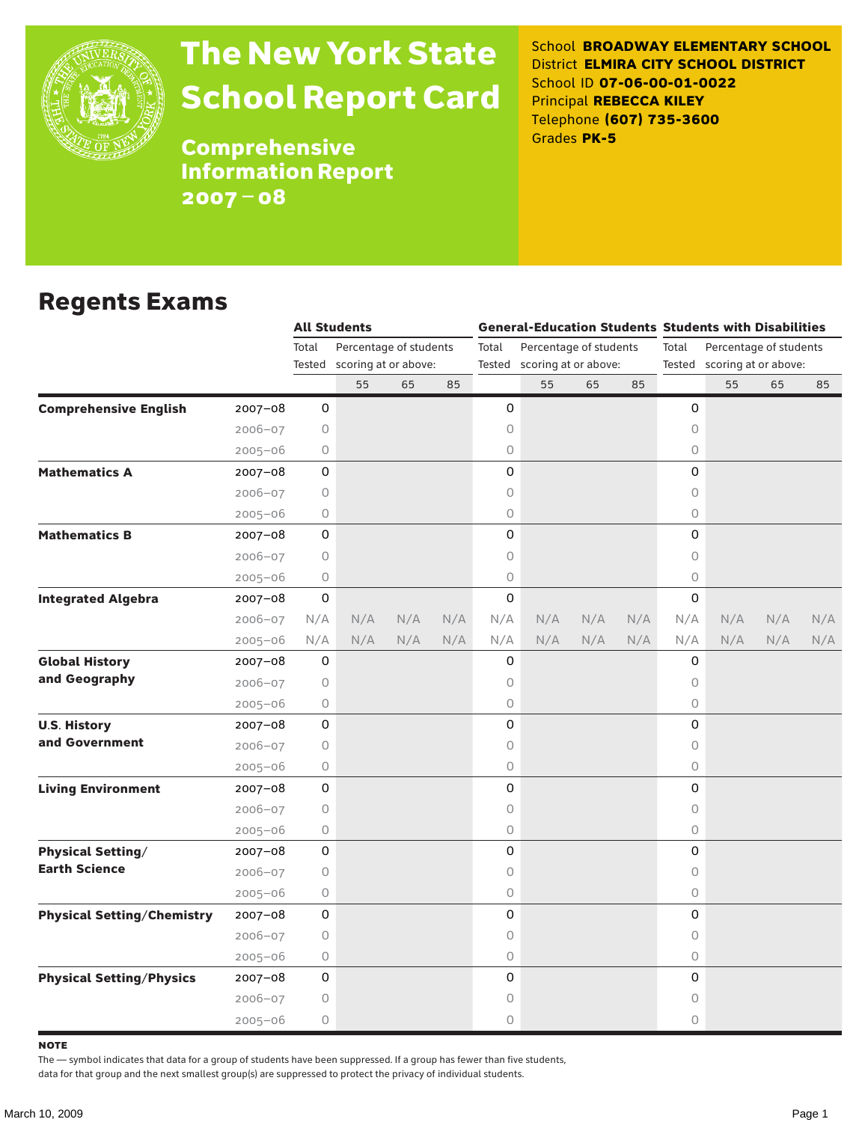

# The New York State School Report Card

School **BROADWAY ELEMENTARY SCHOOL** District **ELMIRA CITY SCHOOL DISTRICT** School ID **07-06-00-01-0022** Principal **REBECCA KILEY** Telephone **(607) 735-3600** Grades **PK-5**

**Comprehensive** Information Report 2007–08

#### Regents Exams

|                                   |             |             | <b>All Students</b>         |     |     |                             | <b>General-Education Students Students with Disabilities</b> |     |     |                                 |     |     |     |  |  |
|-----------------------------------|-------------|-------------|-----------------------------|-----|-----|-----------------------------|--------------------------------------------------------------|-----|-----|---------------------------------|-----|-----|-----|--|--|
|                                   |             | Total       | Percentage of students      |     |     | Total                       | Percentage of students                                       |     |     | Percentage of students<br>Total |     |     |     |  |  |
|                                   |             |             | Tested scoring at or above: |     |     | Tested scoring at or above: |                                                              |     |     | Tested scoring at or above:     |     |     |     |  |  |
|                                   |             |             | 55                          | 65  | 85  |                             | 55                                                           | 65  | 85  |                                 | 55  | 65  | 85  |  |  |
| <b>Comprehensive English</b>      | $2007 - 08$ | 0           |                             |     |     | 0                           |                                                              |     |     | 0                               |     |     |     |  |  |
|                                   | $2006 - 07$ | 0           |                             |     |     | 0                           |                                                              |     |     | $\circ$                         |     |     |     |  |  |
|                                   | $2005 - 06$ | 0           |                             |     |     | 0                           |                                                              |     |     | $\circ$                         |     |     |     |  |  |
| <b>Mathematics A</b>              | 2007-08     | 0           |                             |     |     | 0                           |                                                              |     |     | $\Omega$                        |     |     |     |  |  |
|                                   | $2006 - 07$ | 0           |                             |     |     | 0                           |                                                              |     |     | 0                               |     |     |     |  |  |
|                                   | $2005 - 06$ | 0           |                             |     |     | 0                           |                                                              |     |     | $\circ$                         |     |     |     |  |  |
| <b>Mathematics B</b>              | 2007-08     | 0           |                             |     |     | 0                           |                                                              |     |     | $\Omega$                        |     |     |     |  |  |
|                                   | $2006 - 07$ | 0           |                             |     |     | 0                           |                                                              |     |     | $\circ$                         |     |     |     |  |  |
|                                   | $2005 - 06$ | 0           |                             |     |     | 0                           |                                                              |     |     | $\circ$                         |     |     |     |  |  |
| <b>Integrated Algebra</b>         | 2007-08     | 0           |                             |     |     | 0                           |                                                              |     |     | 0                               |     |     |     |  |  |
|                                   | $2006 - 07$ | N/A         | N/A                         | N/A | N/A | N/A                         | N/A                                                          | N/A | N/A | N/A                             | N/A | N/A | N/A |  |  |
|                                   | $2005 - 06$ | N/A         | N/A                         | N/A | N/A | N/A                         | N/A                                                          | N/A | N/A | N/A                             | N/A | N/A | N/A |  |  |
| <b>Global History</b>             | 2007-08     | $\mathsf 0$ |                             |     |     | 0                           |                                                              |     |     | $\Omega$                        |     |     |     |  |  |
| and Geography                     | $2006 - 07$ | 0           |                             |     |     | 0                           |                                                              |     |     | 0                               |     |     |     |  |  |
|                                   | $2005 - 06$ | 0           |                             |     |     | 0                           |                                                              |     |     | $\circ$                         |     |     |     |  |  |
| <b>U.S. History</b>               | 2007-08     | 0           |                             |     |     | 0                           |                                                              |     |     | $\Omega$                        |     |     |     |  |  |
| and Government                    | $2006 - 07$ | 0           |                             |     |     | 0                           |                                                              |     |     | 0                               |     |     |     |  |  |
|                                   | $2005 - 06$ | 0           |                             |     |     | 0                           |                                                              |     |     | $\circ$                         |     |     |     |  |  |
| <b>Living Environment</b>         | 2007-08     | 0           |                             |     |     | 0                           |                                                              |     |     | $\Omega$                        |     |     |     |  |  |
|                                   | $2006 - 07$ | 0           |                             |     |     | 0                           |                                                              |     |     | 0                               |     |     |     |  |  |
|                                   | $2005 - 06$ | 0           |                             |     |     | 0                           |                                                              |     |     | $\circ$                         |     |     |     |  |  |
| <b>Physical Setting/</b>          | $2007 - 08$ | 0           |                             |     |     | 0                           |                                                              |     |     | 0                               |     |     |     |  |  |
| <b>Earth Science</b>              | $2006 - 07$ | 0           |                             |     |     | 0                           |                                                              |     |     | 0                               |     |     |     |  |  |
|                                   | $2005 - 06$ | 0           |                             |     |     | 0                           |                                                              |     |     | $\circ$                         |     |     |     |  |  |
| <b>Physical Setting/Chemistry</b> | 2007-08     | 0           |                             |     |     | 0                           |                                                              |     |     | $\Omega$                        |     |     |     |  |  |
|                                   | $2006 - 07$ | 0           |                             |     |     | 0                           |                                                              |     |     | $\circ$                         |     |     |     |  |  |
|                                   | $2005 - 06$ | 0           |                             |     |     | 0                           |                                                              |     |     | $\circ$                         |     |     |     |  |  |
| <b>Physical Setting/Physics</b>   | 2007-08     | 0           |                             |     |     | 0                           |                                                              |     |     | 0                               |     |     |     |  |  |
|                                   | $2006 - 07$ | 0           |                             |     |     | 0                           |                                                              |     |     | 0                               |     |     |     |  |  |
|                                   | $2005 - 06$ | 0           |                             |     |     | 0                           |                                                              |     |     | $\circ$                         |     |     |     |  |  |

**NOTE** 

The — symbol indicates that data for a group of students have been suppressed. If a group has fewer than five students,

data for that group and the next smallest group(s) are suppressed to protect the privacy of individual students.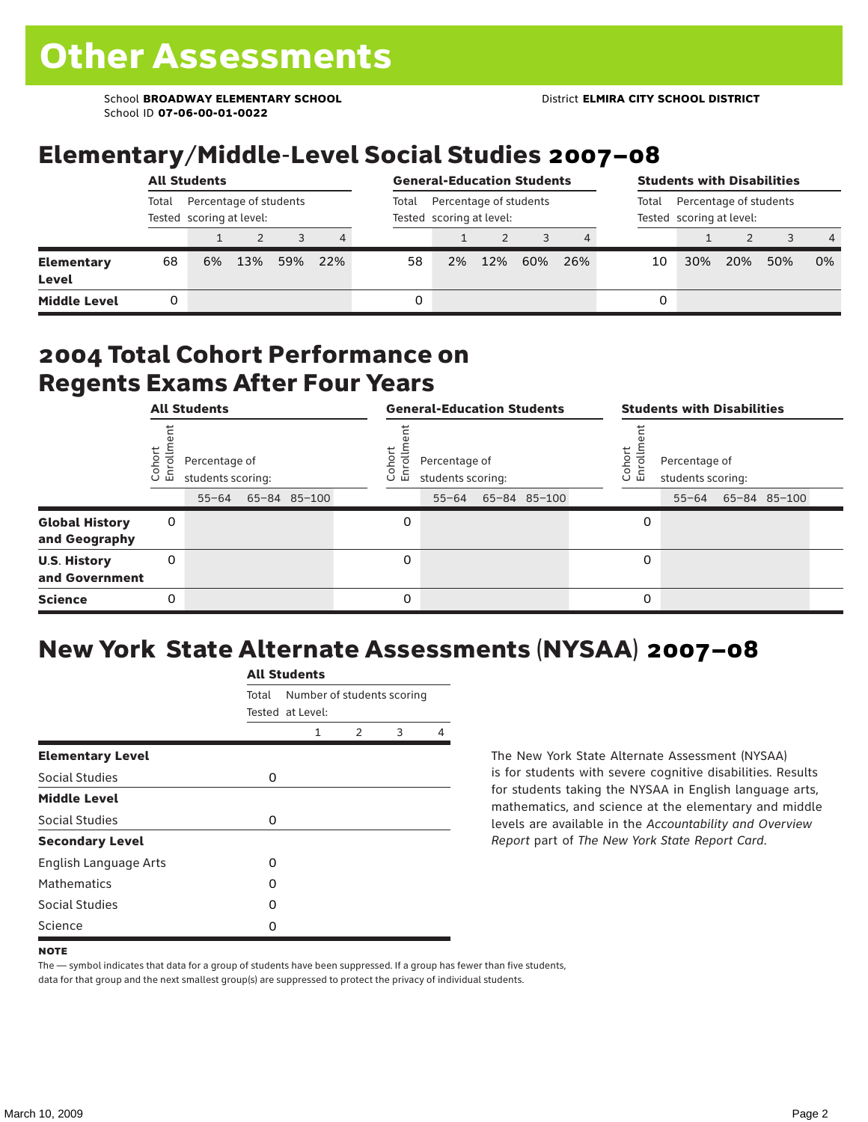School **BROADWAY ELEMENTARY SCHOOL** District **ELMIRA CITY SCHOOL DISTRICT** School ID **07-06-00-01-0022**

### Elementary/Middle-Level Social Studies 2007–08

|                                   | <b>All Students</b>                                         |    |     |     |     |       | <b>General-Education Students</b>                  |     |     |     |    | <b>Students with Disabilities</b>                           |     |     |                |  |  |
|-----------------------------------|-------------------------------------------------------------|----|-----|-----|-----|-------|----------------------------------------------------|-----|-----|-----|----|-------------------------------------------------------------|-----|-----|----------------|--|--|
|                                   | Percentage of students<br>Total<br>Tested scoring at level: |    |     |     |     | Total | Percentage of students<br>Tested scoring at level: |     |     |     |    | Percentage of students<br>Total<br>Tested scoring at level: |     |     |                |  |  |
|                                   |                                                             |    |     |     | 4   |       |                                                    |     |     | 4   |    |                                                             |     |     | $\overline{4}$ |  |  |
| <b>Elementary</b><br><b>Level</b> | 68                                                          | 6% | 13% | 59% | 22% | 58    | 2%                                                 | 12% | 60% | 26% | 10 | 30%                                                         | 20% | 50% | 0%             |  |  |
| <b>Middle Level</b>               |                                                             |    |     |     |     |       |                                                    |     |     |     | 0  |                                                             |     |     |                |  |  |

#### 2004 Total Cohort Performance on Regents Exams After Four Years

|                                        | <b>All Students</b> |                                                 |  | <b>General-Education Students</b> |                  |                                                 |  |              | <b>Students with Disabilities</b> |                       |                                    |  |                    |  |
|----------------------------------------|---------------------|-------------------------------------------------|--|-----------------------------------|------------------|-------------------------------------------------|--|--------------|-----------------------------------|-----------------------|------------------------------------|--|--------------------|--|
|                                        | Cohor<br>Enroll     | Percentage of<br>students scoring:<br>$55 - 64$ |  | 65-84 85-100                      | Cohoi<br>ō.<br>ᇛ | Percentage of<br>students scoring:<br>$55 - 64$ |  | 65-84 85-100 |                                   | Cohor<br>$\circ$<br>멷 | Percentage of<br>students scoring: |  | 55-64 65-84 85-100 |  |
| <b>Global History</b><br>and Geography | 0                   |                                                 |  |                                   | 0                |                                                 |  |              |                                   | 0                     |                                    |  |                    |  |
| <b>U.S. History</b><br>and Government  | 0                   |                                                 |  |                                   | 0                |                                                 |  |              |                                   | 0                     |                                    |  |                    |  |
| <b>Science</b>                         | 0                   |                                                 |  |                                   | 0                |                                                 |  |              |                                   | 0                     |                                    |  |                    |  |

## New York State Alternate Assessments (NYSAA) 2007–08

|                         | <b>All Students</b> |                                                |               |   |   |  |  |  |
|-------------------------|---------------------|------------------------------------------------|---------------|---|---|--|--|--|
|                         | Total               | Number of students scoring<br>Tested at Level: |               |   |   |  |  |  |
|                         |                     | 1                                              | $\mathcal{P}$ | 3 | 4 |  |  |  |
| <b>Elementary Level</b> |                     |                                                |               |   |   |  |  |  |
| Social Studies          | 0                   |                                                |               |   |   |  |  |  |
| <b>Middle Level</b>     |                     |                                                |               |   |   |  |  |  |
| Social Studies          | 0                   |                                                |               |   |   |  |  |  |
| <b>Secondary Level</b>  |                     |                                                |               |   |   |  |  |  |
| English Language Arts   | O                   |                                                |               |   |   |  |  |  |
| <b>Mathematics</b>      | O                   |                                                |               |   |   |  |  |  |
| Social Studies          | O                   |                                                |               |   |   |  |  |  |
| Science                 | 0                   |                                                |               |   |   |  |  |  |

The New York State Alternate Assessment (NYSAA) is for students with severe cognitive disabilities. Results for students taking the NYSAA in English language arts, mathematics, and science at the elementary and middle levels are available in the *Accountability and Overview Report* part of *The New York State Report Card*.

The — symbol indicates that data for a group of students have been suppressed. If a group has fewer than five students, data for that group and the next smallest group(s) are suppressed to protect the privacy of individual students.

**NOTE**